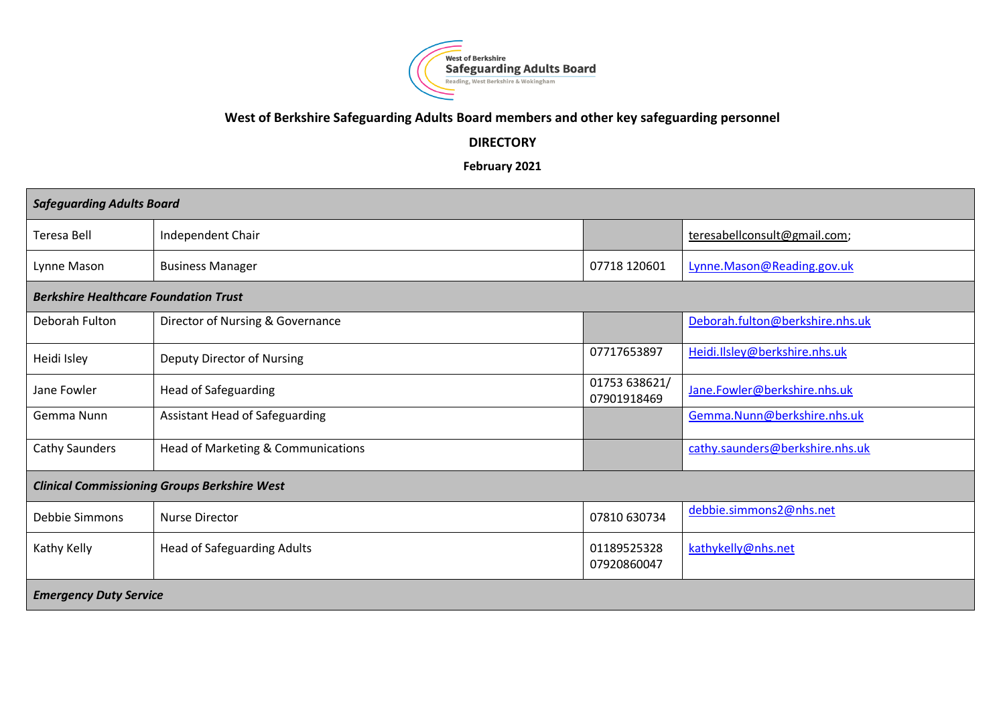

## **West of Berkshire Safeguarding Adults Board members and other key safeguarding personnel**

## **DIRECTORY**

**February 2021**

| <b>Safeguarding Adults Board</b>                    |                                       |                              |                                 |  |  |
|-----------------------------------------------------|---------------------------------------|------------------------------|---------------------------------|--|--|
| Teresa Bell                                         | Independent Chair                     |                              | teresabellconsult@gmail.com;    |  |  |
| Lynne Mason                                         | <b>Business Manager</b>               | 07718 120601                 | Lynne. Mason@Reading.gov.uk     |  |  |
| <b>Berkshire Healthcare Foundation Trust</b>        |                                       |                              |                                 |  |  |
| Deborah Fulton                                      | Director of Nursing & Governance      |                              | Deborah.fulton@berkshire.nhs.uk |  |  |
| Heidi Isley                                         | Deputy Director of Nursing            | 07717653897                  | Heidi.Ilsley@berkshire.nhs.uk   |  |  |
| Jane Fowler                                         | <b>Head of Safeguarding</b>           | 01753 638621/<br>07901918469 | Jane.Fowler@berkshire.nhs.uk    |  |  |
| Gemma Nunn                                          | <b>Assistant Head of Safeguarding</b> |                              | Gemma.Nunn@berkshire.nhs.uk     |  |  |
| <b>Cathy Saunders</b>                               | Head of Marketing & Communications    |                              | cathy.saunders@berkshire.nhs.uk |  |  |
| <b>Clinical Commissioning Groups Berkshire West</b> |                                       |                              |                                 |  |  |
| Debbie Simmons                                      | <b>Nurse Director</b>                 | 07810 630734                 | debbie.simmons2@nhs.net         |  |  |
| Kathy Kelly                                         | <b>Head of Safeguarding Adults</b>    | 01189525328<br>07920860047   | kathykelly@nhs.net              |  |  |
| <b>Emergency Duty Service</b>                       |                                       |                              |                                 |  |  |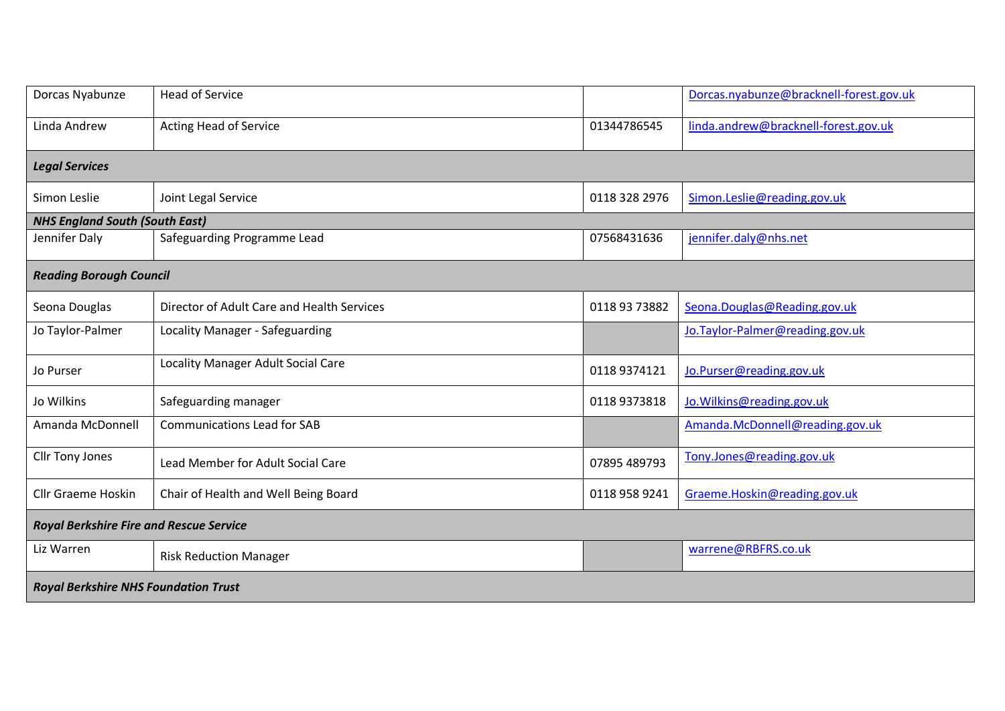| Dorcas Nyabunze                                | <b>Head of Service</b>                     |               | Dorcas.nyabunze@bracknell-forest.gov.uk |  |  |
|------------------------------------------------|--------------------------------------------|---------------|-----------------------------------------|--|--|
| Linda Andrew                                   | <b>Acting Head of Service</b>              | 01344786545   | linda.andrew@bracknell-forest.gov.uk    |  |  |
| <b>Legal Services</b>                          |                                            |               |                                         |  |  |
| Simon Leslie                                   | Joint Legal Service                        | 0118 328 2976 | Simon.Leslie@reading.gov.uk             |  |  |
| <b>NHS England South (South East)</b>          |                                            |               |                                         |  |  |
| Jennifer Daly                                  | Safeguarding Programme Lead                | 07568431636   | jennifer.daly@nhs.net                   |  |  |
| <b>Reading Borough Council</b>                 |                                            |               |                                         |  |  |
| Seona Douglas                                  | Director of Adult Care and Health Services | 0118 93 73882 | Seona.Douglas@Reading.gov.uk            |  |  |
| Jo Taylor-Palmer                               | Locality Manager - Safeguarding            |               | Jo. Taylor-Palmer@reading.gov.uk        |  |  |
| Jo Purser                                      | Locality Manager Adult Social Care         | 0118 9374121  | Jo.Purser@reading.gov.uk                |  |  |
| Jo Wilkins                                     | Safeguarding manager                       | 01189373818   | Jo. Wilkins@reading.gov.uk              |  |  |
| Amanda McDonnell                               | <b>Communications Lead for SAB</b>         |               | Amanda.McDonnell@reading.gov.uk         |  |  |
| Cllr Tony Jones                                | Lead Member for Adult Social Care          | 07895 489793  | Tony.Jones@reading.gov.uk               |  |  |
| <b>Cllr Graeme Hoskin</b>                      | Chair of Health and Well Being Board       | 0118 958 9241 | Graeme.Hoskin@reading.gov.uk            |  |  |
| <b>Royal Berkshire Fire and Rescue Service</b> |                                            |               |                                         |  |  |
| Liz Warren                                     | <b>Risk Reduction Manager</b>              |               | warrene@RBFRS.co.uk                     |  |  |
| <b>Royal Berkshire NHS Foundation Trust</b>    |                                            |               |                                         |  |  |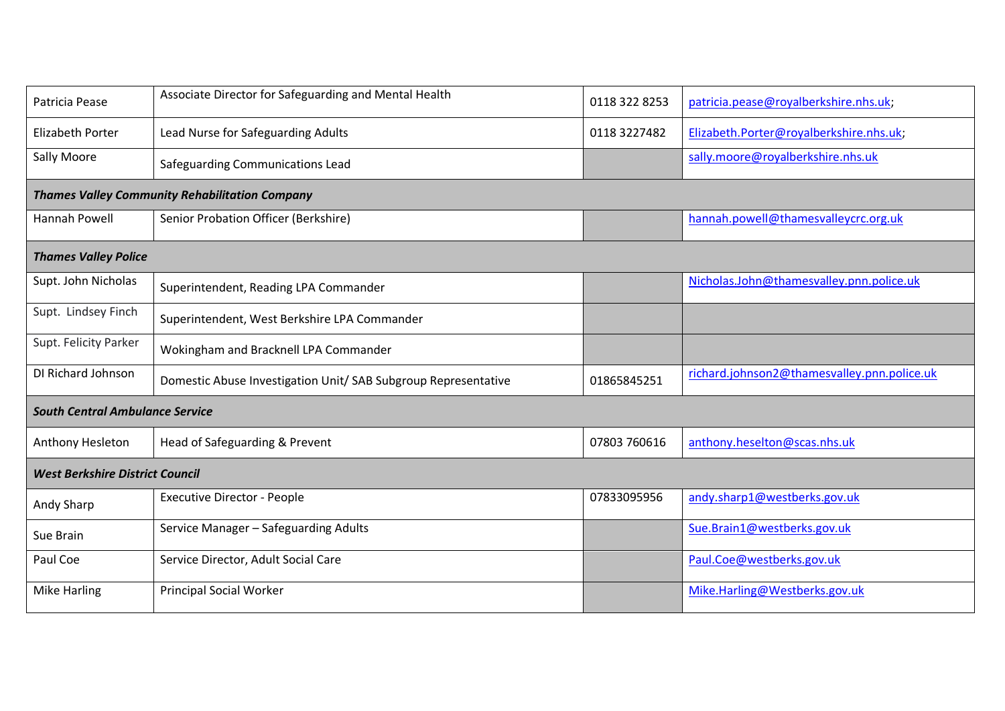| Patricia Pease                                        | Associate Director for Safeguarding and Mental Health          | 0118 322 8253 | patricia.pease@royalberkshire.nhs.uk;       |  |  |
|-------------------------------------------------------|----------------------------------------------------------------|---------------|---------------------------------------------|--|--|
| <b>Elizabeth Porter</b>                               | Lead Nurse for Safeguarding Adults                             | 0118 3227482  | Elizabeth.Porter@royalberkshire.nhs.uk;     |  |  |
| <b>Sally Moore</b>                                    | Safeguarding Communications Lead                               |               | sally.moore@royalberkshire.nhs.uk           |  |  |
| <b>Thames Valley Community Rehabilitation Company</b> |                                                                |               |                                             |  |  |
| Hannah Powell                                         | Senior Probation Officer (Berkshire)                           |               | hannah.powell@thamesvalleycrc.org.uk        |  |  |
| <b>Thames Valley Police</b>                           |                                                                |               |                                             |  |  |
| Supt. John Nicholas                                   | Superintendent, Reading LPA Commander                          |               | Nicholas.John@thamesvalley.pnn.police.uk    |  |  |
| Supt. Lindsey Finch                                   | Superintendent, West Berkshire LPA Commander                   |               |                                             |  |  |
| Supt. Felicity Parker                                 | Wokingham and Bracknell LPA Commander                          |               |                                             |  |  |
| DI Richard Johnson                                    | Domestic Abuse Investigation Unit/ SAB Subgroup Representative | 01865845251   | richard.johnson2@thamesvalley.pnn.police.uk |  |  |
| <b>South Central Ambulance Service</b>                |                                                                |               |                                             |  |  |
| Anthony Hesleton                                      | Head of Safeguarding & Prevent                                 | 07803 760616  | anthony.heselton@scas.nhs.uk                |  |  |
| <b>West Berkshire District Council</b>                |                                                                |               |                                             |  |  |
| Andy Sharp                                            | <b>Executive Director - People</b>                             | 07833095956   | andy.sharp1@westberks.gov.uk                |  |  |
| Sue Brain                                             | Service Manager - Safeguarding Adults                          |               | Sue.Brain1@westberks.gov.uk                 |  |  |
| Paul Coe                                              | Service Director, Adult Social Care                            |               | Paul.Coe@westberks.gov.uk                   |  |  |
| <b>Mike Harling</b>                                   | <b>Principal Social Worker</b>                                 |               | Mike.Harling@Westberks.gov.uk               |  |  |